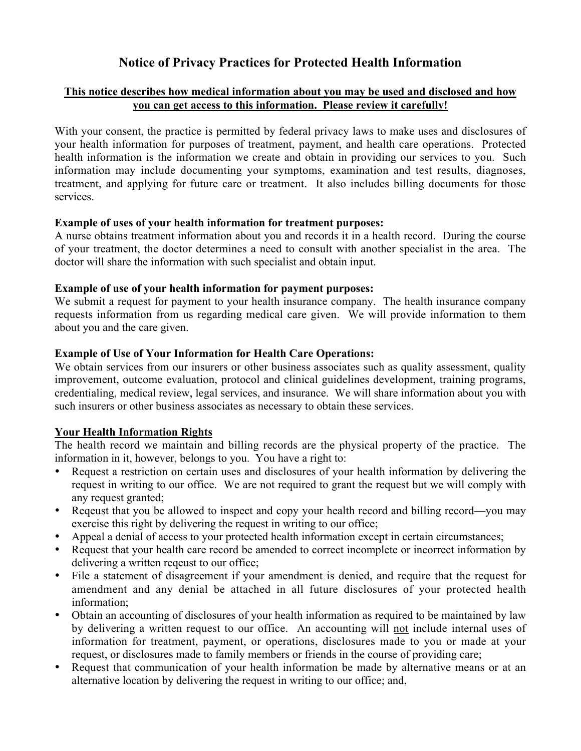# **Notice of Privacy Practices for Protected Health Information**

#### **This notice describes how medical information about you may be used and disclosed and how you can get access to this information. Please review it carefully!**

With your consent, the practice is permitted by federal privacy laws to make uses and disclosures of your health information for purposes of treatment, payment, and health care operations. Protected health information is the information we create and obtain in providing our services to you. Such information may include documenting your symptoms, examination and test results, diagnoses, treatment, and applying for future care or treatment. It also includes billing documents for those services.

#### **Example of uses of your health information for treatment purposes:**

A nurse obtains treatment information about you and records it in a health record. During the course of your treatment, the doctor determines a need to consult with another specialist in the area. The doctor will share the information with such specialist and obtain input.

#### **Example of use of your health information for payment purposes:**

We submit a request for payment to your health insurance company. The health insurance company requests information from us regarding medical care given. We will provide information to them about you and the care given.

#### **Example of Use of Your Information for Health Care Operations:**

We obtain services from our insurers or other business associates such as quality assessment, quality improvement, outcome evaluation, protocol and clinical guidelines development, training programs, credentialing, medical review, legal services, and insurance. We will share information about you with such insurers or other business associates as necessary to obtain these services.

#### **Your Health Information Rights**

The health record we maintain and billing records are the physical property of the practice. The information in it, however, belongs to you. You have a right to:

- Request a restriction on certain uses and disclosures of your health information by delivering the request in writing to our office. We are not required to grant the request but we will comply with any request granted;
- Reqeust that you be allowed to inspect and copy your health record and billing record—you may exercise this right by delivering the request in writing to our office;
- Appeal a denial of access to your protected health information except in certain circumstances;
- Request that your health care record be amended to correct incomplete or incorrect information by delivering a written reqeust to our office;
- File a statement of disagreement if your amendment is denied, and require that the request for amendment and any denial be attached in all future disclosures of your protected health information;
- Obtain an accounting of disclosures of your health information as required to be maintained by law by delivering a written request to our office. An accounting will not include internal uses of information for treatment, payment, or operations, disclosures made to you or made at your request, or disclosures made to family members or friends in the course of providing care;
- Request that communication of your health information be made by alternative means or at an alternative location by delivering the request in writing to our office; and,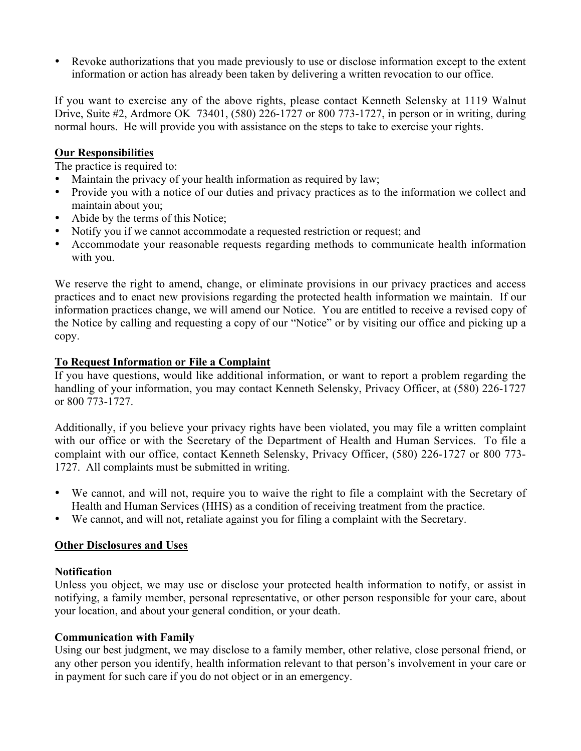• Revoke authorizations that you made previously to use or disclose information except to the extent information or action has already been taken by delivering a written revocation to our office.

If you want to exercise any of the above rights, please contact Kenneth Selensky at 1119 Walnut Drive, Suite #2, Ardmore OK 73401, (580) 226-1727 or 800 773-1727, in person or in writing, during normal hours. He will provide you with assistance on the steps to take to exercise your rights.

#### **Our Responsibilities**

The practice is required to:

- Maintain the privacy of your health information as required by law;
- Provide you with a notice of our duties and privacy practices as to the information we collect and maintain about you;
- Abide by the terms of this Notice;
- Notify you if we cannot accommodate a requested restriction or request; and
- Accommodate your reasonable requests regarding methods to communicate health information with you.

We reserve the right to amend, change, or eliminate provisions in our privacy practices and access practices and to enact new provisions regarding the protected health information we maintain. If our information practices change, we will amend our Notice. You are entitled to receive a revised copy of the Notice by calling and requesting a copy of our "Notice" or by visiting our office and picking up a copy.

#### **To Request Information or File a Complaint**

If you have questions, would like additional information, or want to report a problem regarding the handling of your information, you may contact Kenneth Selensky, Privacy Officer, at (580) 226-1727 or 800 773-1727.

Additionally, if you believe your privacy rights have been violated, you may file a written complaint with our office or with the Secretary of the Department of Health and Human Services. To file a complaint with our office, contact Kenneth Selensky, Privacy Officer, (580) 226-1727 or 800 773- 1727. All complaints must be submitted in writing.

- We cannot, and will not, require you to waive the right to file a complaint with the Secretary of Health and Human Services (HHS) as a condition of receiving treatment from the practice.
- We cannot, and will not, retaliate against you for filing a complaint with the Secretary.

#### **Other Disclosures and Uses**

#### **Notification**

Unless you object, we may use or disclose your protected health information to notify, or assist in notifying, a family member, personal representative, or other person responsible for your care, about your location, and about your general condition, or your death.

#### **Communication with Family**

Using our best judgment, we may disclose to a family member, other relative, close personal friend, or any other person you identify, health information relevant to that person's involvement in your care or in payment for such care if you do not object or in an emergency.